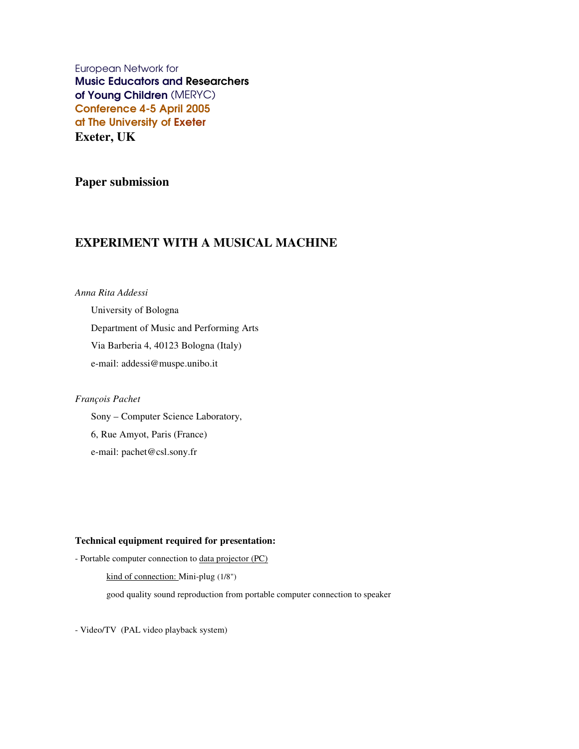European Network for Music Educators and Researchers of Young Children (MERYC) Conference 4-5 April 2005 at The University of Exeter **Exeter, UK**

**Paper submission**

# **EXPERIMENT WITH A MUSICAL MACHINE**

*Anna Rita Addessi*

University of Bologna Department of Music and Performing Arts Via Barberia 4, 40123 Bologna (Italy) e-mail: addessi@muspe.unibo.it

### *François Pachet*

Sony – Computer Science Laboratory, 6, Rue Amyot, Paris (France) e-mail: pachet@csl.sony.fr

# **Technical equipment required for presentation:**

- Portable computer connection to data projector (PC) kind of connection: Mini-plug (1/8") good quality sound reproduction from portable computer connection to speaker

- Video/TV (PAL video playback system)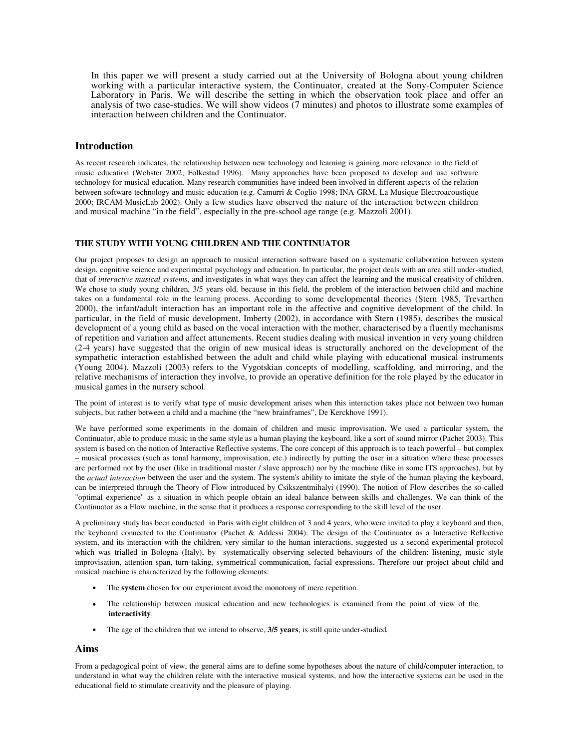In this paper we will present a study carried out at the University of Bologna about young children working with a particular interactive system, the Continuator, created at the Sony-Computer Science Laboratory in Paris. We will describe the setting in which the observation took place and offer an analysis of two case-studies. We will show videos (7 minutes) and photos to illustrate some examples of interaction between children and the Continuator.

# **Introduction**

As recent research indicates, the relationship between new technology and learning is gaining more relevance in the field of music education (Webster 2002; Folkestad 1996). Many approaches have been proposed to develop and use software technology for musical education. Many research communities have indeed been involved in different aspects of the relation between software technology and music education (e.g. Camurri & Coglio 1998; INA-GRM, La Musique Electroacoustique 2000; IRCAM-MusicLab 2002). Only a few studies have observed the nature of the interaction between children and musical machine "in the field", especially in the pre-school age range (e.g. Mazzoli 2001).

#### **THE STUDY WITH YOUNG CHILDREN AND THE CONTINUATOR**

Our project proposes to design an approach to musical interaction software based on a systematic collaboration between system design, cognitive science and experimental psychology and education. In particular, the project deals with an area still under-studied, that of *interactive musical systems*, and investigates in what ways they can affect the learning and the musical creativity of children. We chose to study young children, 3/5 years old, because in this field, the problem of the interaction between child and machine takes on a fundamental role in the learning process. According to some developmental theories (Stern 1985, Trevarthen 2000), the infant/adult interaction has an important role in the affective and cognitive development of the child. In particular, in the field of music development, Imberty (2002), in accordance with Stern (1985), describes the musical development of a young child as based on the vocal interaction with the mother, characterised by a fluently mechanisms of repetition and variation and affect attunements. Recent studies dealing with musical invention in very young children (2-4 years) have suggested that the origin of new musical ideas is structurally anchored on the development of the sympathetic interaction established between the adult and child while playing with educational musical instruments (Young 2004). Mazzoli (2003) refers to the Vygotskian concepts of modelling, scaffolding, and mirroring, and the relative mechanisms of interaction they involve, to provide an operative definition for the role played by the educator in musical games in the nursery school.

The point of interest is to verify what type of music development arises when this interaction takes place not between two human subjects, but rather between a child and a machine (the "new brainframes", De Kerckhove 1991).

We have performed some experiments in the domain of children and music improvisation. We used a particular system, the Continuator, able to produce music in the same style as a human playing the keyboard, like a sort of sound mirror (Pachet 2003). This system is based on the notion of Interactive Reflective systems. The core concept of this approach is to teach powerful – but complex – musical processes (such as tonal harmony, improvisation, etc.) indirectly by putting the user in a situation where these processes are performed not by the user (like in traditional master / slave approach) nor by the machine (like in some ITS approaches), but by the *actual interaction* between the user and the system. The system's ability to imitate the style of the human playing the keyboard, can be interpreted through the Theory of Flow introduced by Csikszentmihalyi (1990). The notion of Flow describes the so-called "optimal experience" as a situation in which people obtain an ideal balance between skills and challenges. We can think of the Continuator as a Flow machine, in the sense that it produces a response corresponding to the skill level of the user.

A preliminary study has been conducted in Paris with eight children of 3 and 4 years, who were invited to play a keyboard and then, the keyboard connected to the Continuator (Pachet & Addessi 2004). The design of the Continuator as a Interactive Reflective system, and its interaction with the children, very similar to the human interactions, suggested us a second experimental protocol which was trialled in Bologna (Italy), by systematically observing selected behaviours of the children: listening, music style improvisation, attention span, turn-taking, symmetrical communication, facial expressions. Therefore our project about child and musical machine is characterized by the following elements:

- The **system** chosen for our experiment avoid the monotony of mere repetition.
- The relationship between musical education and new technologies is examined from the point of view of the **interactivity**.
- The age of the children that we intend to observe, **3/5 years**, is still quite under-studied*.*

#### **Aims**

From a pedagogical point of view, the general aims are to define some hypotheses about the nature of child/computer interaction, to understand in what way the children relate with the interactive musical systems, and how the interactive systems can be used in the educational field to stimulate creativity and the pleasure of playing.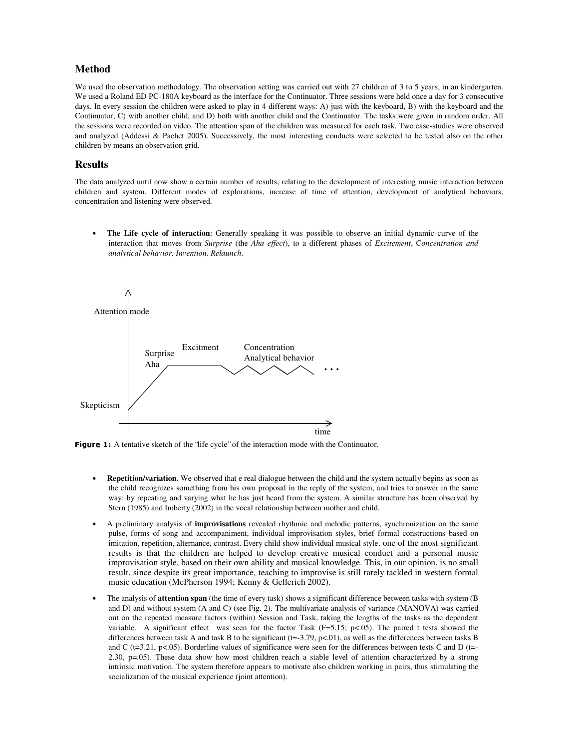# **Method**

We used the observation methodology. The observation setting was carried out with 27 children of 3 to 5 years, in an kindergarten. We used a Roland ED PC-180A keyboard as the interface for the Continuator. Three sessions were held once a day for 3 consecutive days. In every session the children were asked to play in 4 different ways: A) just with the keyboard, B) with the keyboard and the Continuator, C) with another child, and D) both with another child and the Continuator. The tasks were given in random order. All the sessions were recorded on video. The attention span of the children was measured for each task. Two case-studies were observed and analyzed (Addessi & Pachet 2005). Successively, the most interesting conducts were selected to be tested also on the other children by means an observation grid.

## **Results**

The data analyzed until now show a certain number of results, relating to the development of interesting music interaction between children and system. Different modes of explorations, increase of time of attention, development of analytical behaviors, concentration and listening were observed.

• **The Life cycle of interaction**: Generally speaking it was possible to observe an initial dynamic curve of the interaction that moves from *Surprise* (the *Aha effect*), to a different phases of *Excitement*, C*oncentration and analytical behavior, Invention, Relaunch*.



**Figure 1:** A tentative sketch of the 'life cycle'' of the interaction mode with the Continuator.

- **Repetition/variation**. We observed that e real dialogue between the child and the system actually begins as soon as the child recognizes something from his own proposal in the reply of the system, and tries to answer in the same way: by repeating and varying what he has just heard from the system. A similar structure has been observed by Stern (1985) and Imberty (2002) in the vocal relationship between mother and child.
- A preliminary analysis of **improvisations** revealed rhythmic and melodic patterns, synchronization on the same pulse, forms of song and accompaniment, individual improvisation styles, brief formal constructions based on imitation, repetition, alternance, contrast. Every child show individual musical style. one of the most significant results is that the children are helped to develop creative musical conduct and a personal music improvisation style, based on their own ability and musical knowledge. This, in our opinion, is no small result, since despite its great importance, teaching to improvise is still rarely tackled in western formal music education (McPherson 1994; Kenny & Gellerich 2002).
- The analysis of **attention span** (the time of every task) shows a significant difference between tasks with system (B and D) and without system (A and C) (see Fig. 2). The multivariate analysis of variance (MANOVA) was carried out on the repeated measure factors (within) Session and Task, taking the lengths of the tasks as the dependent variable. A significant effect was seen for the factor Task ( $F=5.15$ ; p<.05). The paired t tests showed the differences between task A and task B to be significant (t=-3.79, p<.01), as well as the differences between tasks B and C ( $t=3.21$ ,  $p<.05$ ). Borderline values of significance were seen for the differences between tests C and D ( $t=$ 2.30, p=.05). These data show how most children reach a stable level of attention characterized by a strong intrinsic motivation. The system therefore appears to motivate also children working in pairs, thus stimulating the socialization of the musical experience (joint attention).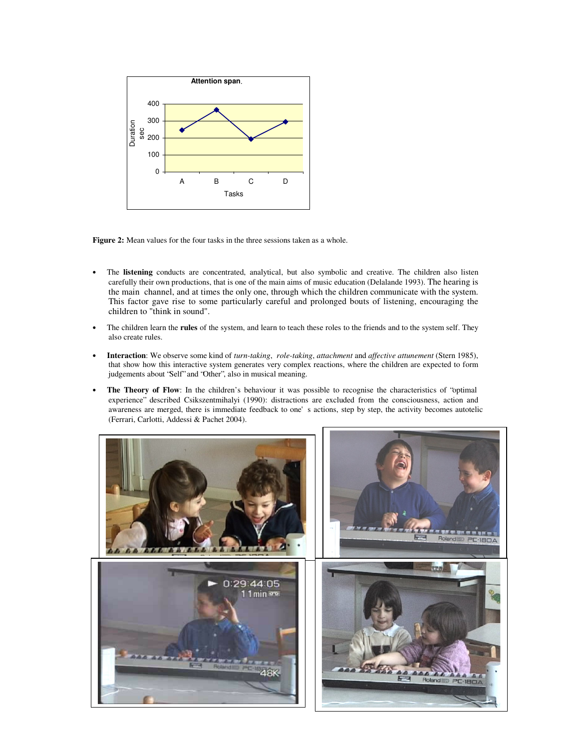

**Figure 2:** Mean values for the four tasks in the three sessions taken as a whole.

- The **listening** conducts are concentrated, analytical, but also symbolic and creative. The children also listen carefully their own productions, that is one of the main aims of music education (Delalande 1993). The hearing is the main channel, and at times the only one, through which the children communicate with the system. This factor gave rise to some particularly careful and prolonged bouts of listening, encouraging the children to "think in sound".
- The children learn the **rules** of the system, and learn to teach these roles to the friends and to the system self. They also create rules.
- **Interaction**: We observe some kind of *turn-taking*, *role-taking*, *attachment* and *affective attunement* (Stern 1985), that show how this interactive system generates very complex reactions, where the children are expected to form judgements about "Self" and "Other", also in musical meaning.
- **The Theory of Flow**: In the children's behaviour it was possible to recognise the characteristics of "optimal experience" described Csikszentmihalyi (1990): distractions are excluded from the consciousness, action and awareness are merged, there is immediate feedback to one's actions, step by step, the activity becomes autotelic (Ferrari, Carlotti, Addessi & Pachet 2004).

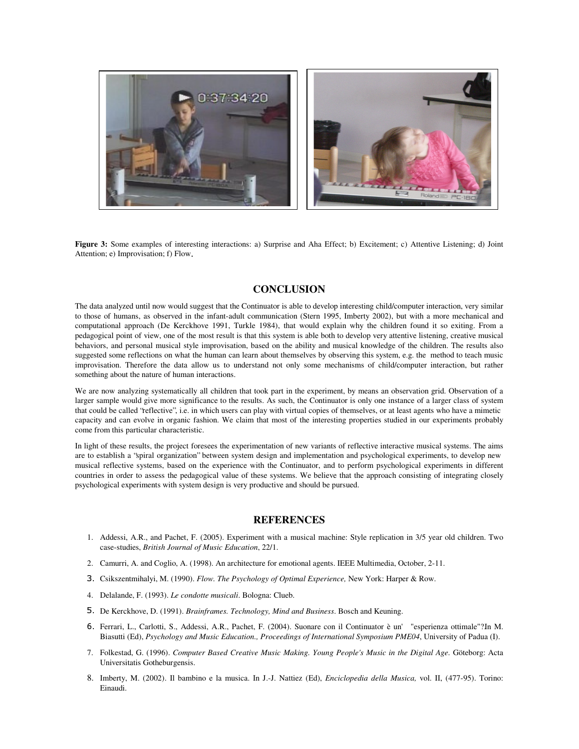

**Figure 3:** Some examples of interesting interactions: a) Surprise and Aha Effect; b) Excitement; c) Attentive Listening; d) Joint Attention; e) Improvisation; f) Flow.

## **CONCLUSION**

The data analyzed until now would suggest that the Continuator is able to develop interesting child/computer interaction, very similar to those of humans, as observed in the infant-adult communication (Stern 1995, Imberty 2002), but with a more mechanical and computational approach (De Kerckhove 1991, Turkle 1984), that would explain why the children found it so exiting. From a pedagogical point of view, one of the most result is that this system is able both to develop very attentive listening, creative musical behaviors, and personal musical style improvisation, based on the ability and musical knowledge of the children. The results also suggested some reflections on what the human can learn about themselves by observing this system, e.g. the method to teach music improvisation. Therefore the data allow us to understand not only some mechanisms of child/computer interaction, but rather something about the nature of human interactions.

We are now analyzing systematically all children that took part in the experiment, by means an observation grid. Observation of a larger sample would give more significance to the results. As such, the Continuator is only one instance of a larger class of system that could be called "reflective", i.e. in which users can play with virtual copies of themselves, or at least agents who have a mimetic capacity and can evolve in organic fashion. We claim that most of the interesting properties studied in our experiments probably come from this particular characteristic.

In light of these results, the project foresees the experimentation of new variants of reflective interactive musical systems. The aims are to establish a "spiral organization" between system design and implementation and psychological experiments, to develop new musical reflective systems, based on the experience with the Continuator, and to perform psychological experiments in different countries in order to assess the pedagogical value of these systems. We believe that the approach consisting of integrating closely psychological experiments with system design is very productive and should be pursued.

## **REFERENCES**

- 1. Addessi, A.R., and Pachet, F. (2005). Experiment with a musical machine: Style replication in 3/5 year old children. Two case-studies, *British Journal of Music Education*, 22/1.
- 2. Camurri, A. and Coglio, A. (1998). An architecture for emotional agents. IEEE Multimedia, October, 2-11.
- Csikszentmihalyi, M. (1990). *Flow. The Psychology of Optimal Experience,* New York: Harper & Row.
- 4. Delalande, F. (1993). *Le condotte musicali*. Bologna: Clueb.
- De Kerckhove, D. (1991). *Brainframes. Technology, Mind and Business*. Bosch and Keuning.
- 6. Ferrari, L., Carlotti, S., Addessi, A.R., Pachet, F. (2004). Suonare con il Continuator è un' "esperienza ottimale"?In M. Biasutti (Ed), *Psychology and Music Education., Proceedings of International Symposium PME04*, University of Padua (I).
- 7. Folkestad, G. (1996). *Computer Based Creative Music Making. Young People's Music in the Digital Age.* Göteborg: Acta Universitatis Gotheburgensis.
- 8. Imberty, M. (2002). Il bambino e la musica. In J.-J. Nattiez (Ed), *Enciclopedia della Musica,* vol. II, (477-95). Torino: Einaudi.